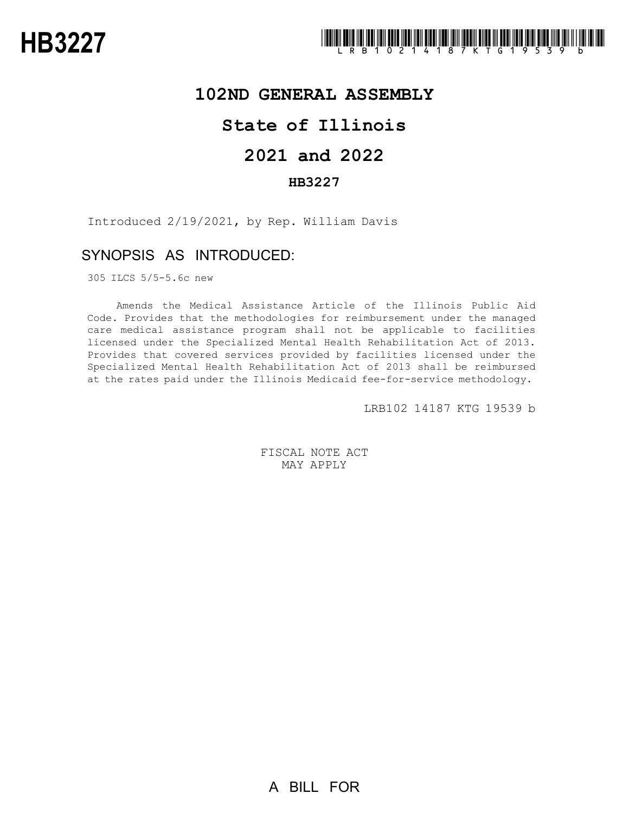# **102ND GENERAL ASSEMBLY**

### **State of Illinois**

# **2021 and 2022**

### **HB3227**

Introduced 2/19/2021, by Rep. William Davis

### SYNOPSIS AS INTRODUCED:

305 ILCS 5/5-5.6c new

Amends the Medical Assistance Article of the Illinois Public Aid Code. Provides that the methodologies for reimbursement under the managed care medical assistance program shall not be applicable to facilities licensed under the Specialized Mental Health Rehabilitation Act of 2013. Provides that covered services provided by facilities licensed under the Specialized Mental Health Rehabilitation Act of 2013 shall be reimbursed at the rates paid under the Illinois Medicaid fee-for-service methodology.

LRB102 14187 KTG 19539 b

FISCAL NOTE ACT MAY APPLY

A BILL FOR